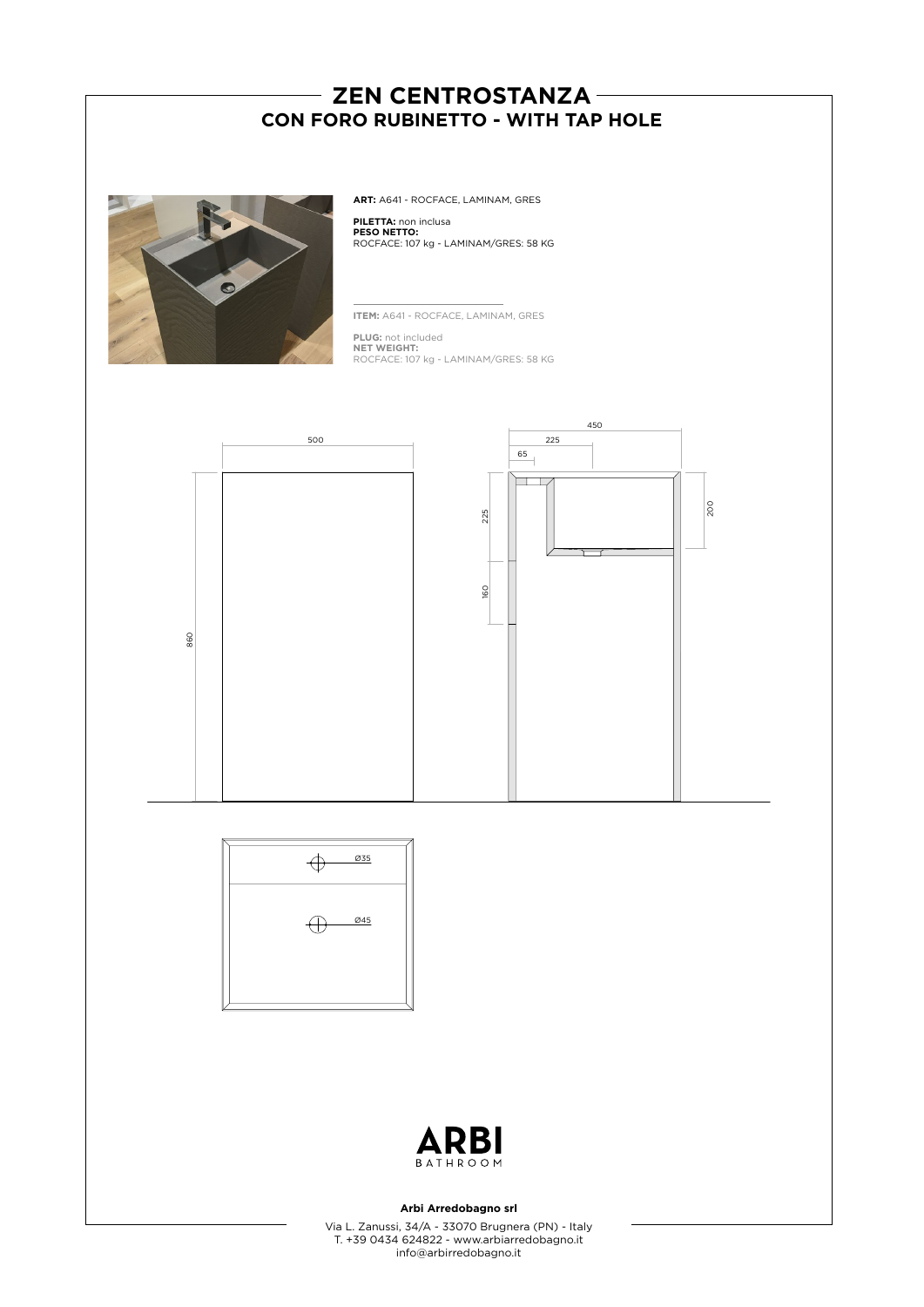# - ZEN CENTROSTANZA -**CON FORO RUBINETTO - WITH TAP HOLE**



**ART:** A641 - ROCFACE, LAMINAM, GRES

**PILETTA:** non inclusa **PESO NETTO:** ROCFACE: 107 kg - LAMINAM/GRES: 58 KG

**ITEM:** A641 - ROCFACE, LAMINAM, GRES

**PLUG:** not included **NET WEIGHT:** ROCFACE: 107 kg - LAMINAM/GRES: 58 KG







### **Arbi Arredobagno srl**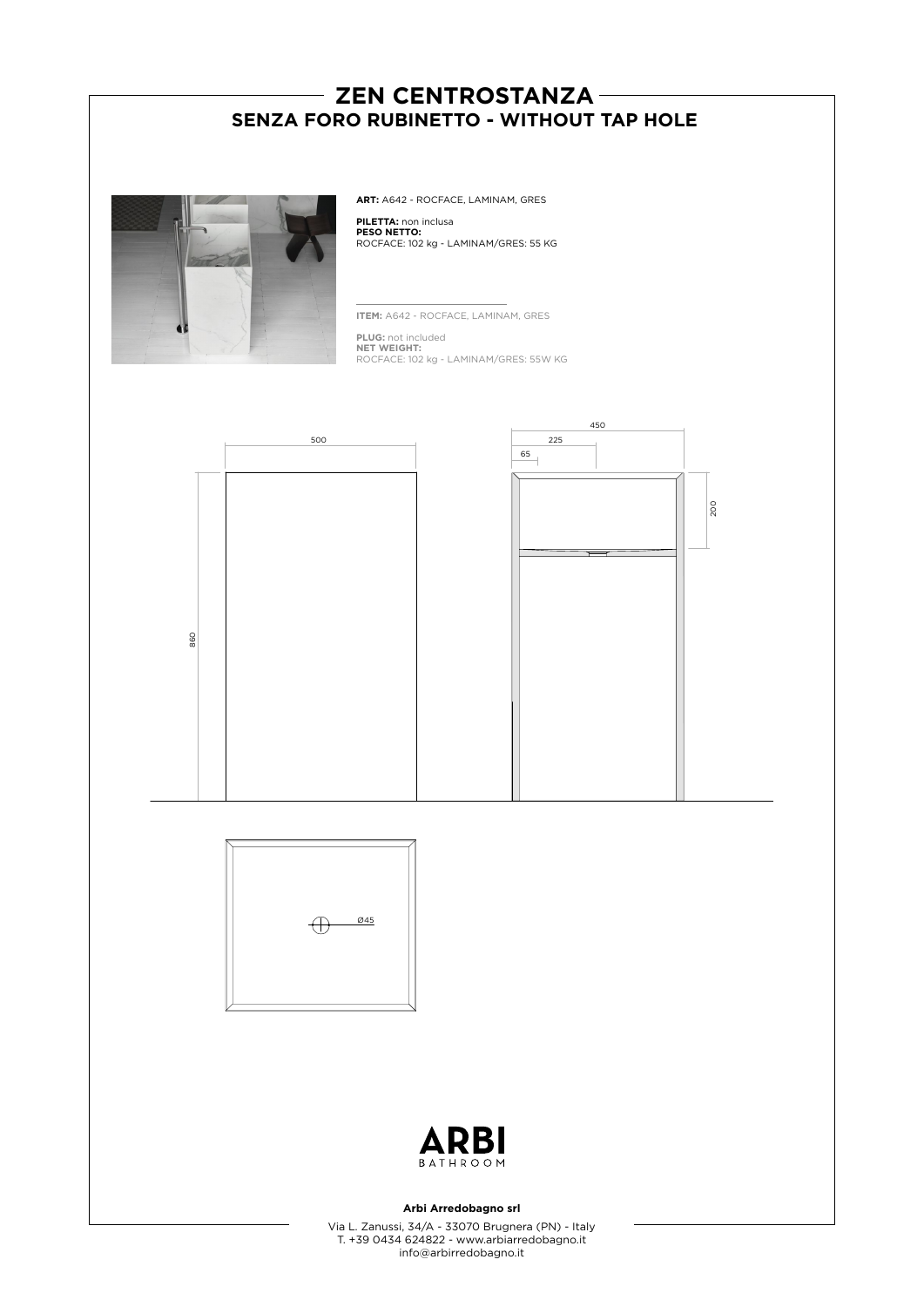# - ZEN CENTROSTANZA -**SENZA FORO RUBINETTO - WITHOUT TAP HOLE**



**ART:** A642 - ROCFACE, LAMINAM, GRES

**PILETTA:** non inclusa **PESO NETTO:** ROCFACE: 102 kg - LAMINAM/GRES: 55 KG

**ITEM:** A642 - ROCFACE, LAMINAM, GRES

**PLUG:** not included **NET WEIGHT:** ROCFACE: 102 kg - LAMINAM/GRES: 55W KG







### **Arbi Arredobagno srl**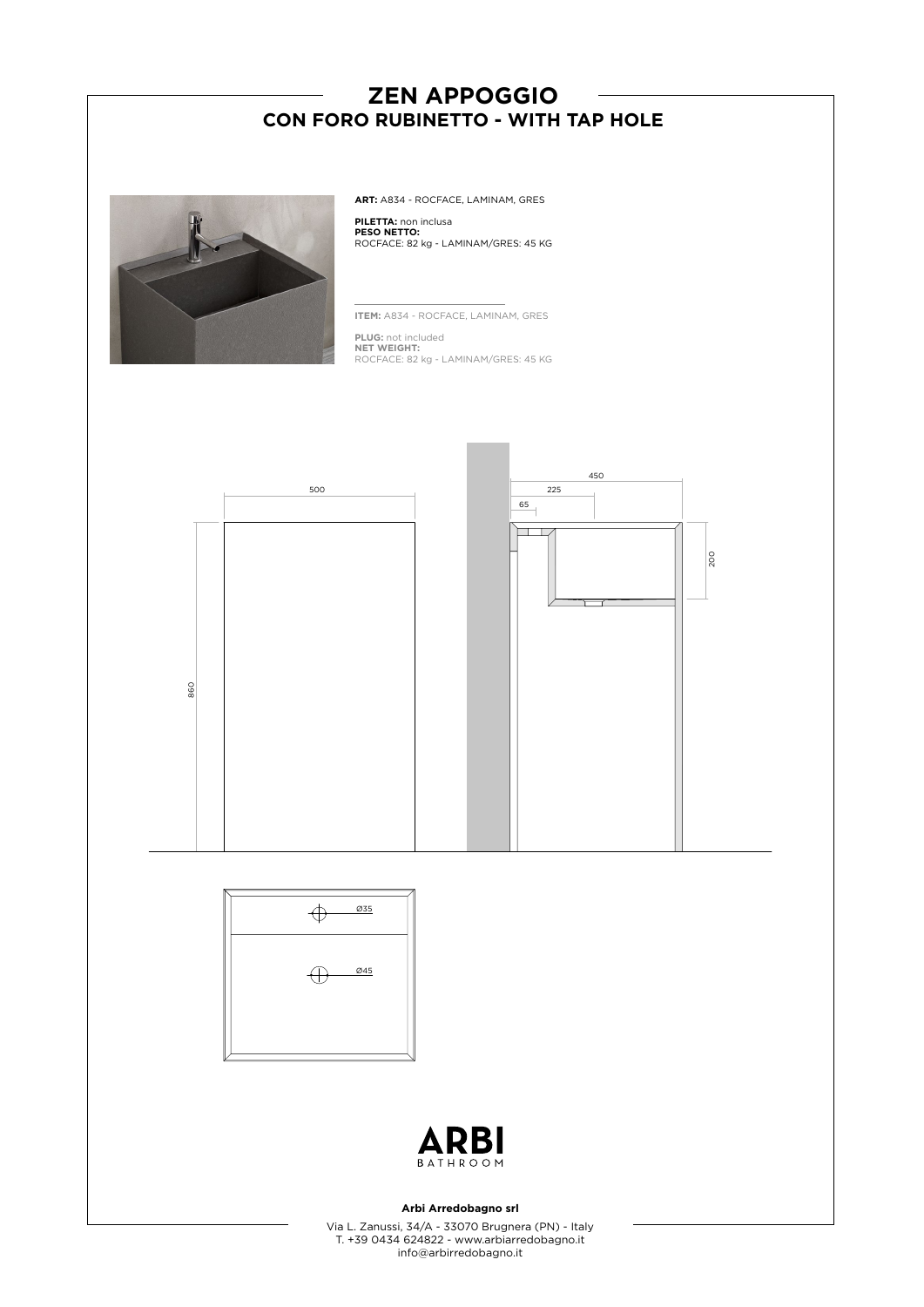# **ZEN APPOGGIO CON FORO RUBINETTO - WITH TAP HOLE**



**ART:** A834 - ROCFACE, LAMINAM, GRES

**PILETTA:** non inclusa **PESO NETTO:** ROCFACE: 82 kg - LAMINAM/GRES: 45 KG

**ITEM:** A834 - ROCFACE, LAMINAM, GRES

**PLUG:** not included **NET WEIGHT:** ROCFACE: 82 kg - LAMINAM/GRES: 45 KG







### **Arbi Arredobagno srl**